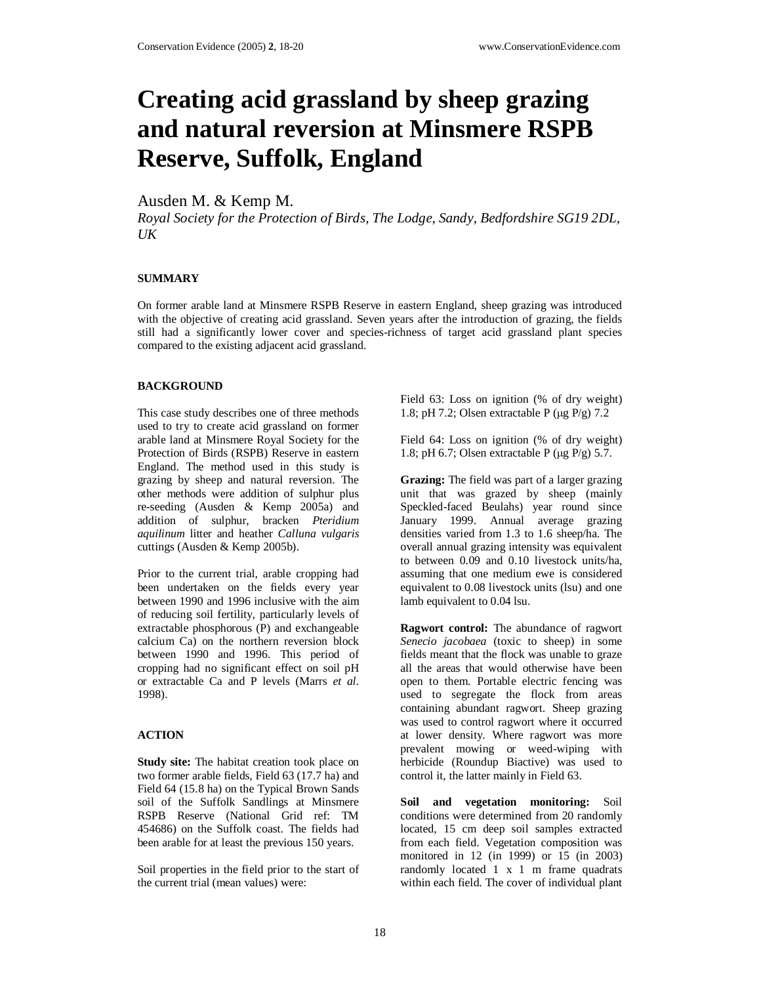# **Creating acid grassland by sheep grazing and natural reversion at Minsmere RSPB Reserve, Suffolk, England**

## Ausden M. & Kemp M.

*Royal Society for the Protection of Birds, The Lodge, Sandy, Bedfordshire SG19 2DL,*   $U K$ 

### **SUMMARY**

On former arable land at Minsmere RSPB Reserve in eastern England, sheep grazing was introduced with the objective of creating acid grassland. Seven years after the introduction of grazing, the fields still had a significantly lower cover and species-richness of target acid grassland plant species compared to the existing adjacent acid grassland.

### **BACKGROUND**

This case study describes one of three methods used to try to create acid grassland on former arable land at Minsmere Royal Society for the Protection of Birds (RSPB) Reserve in eastern England. The method used in this study is grazing by sheep and natural reversion. The other methods were addition of sulphur plus re-seeding (Ausden & Kemp  $2005a$ ) and addition of sulphur, bracken *Pteridium aquilinum* litter and heather *Calluna vulgaris* cuttings (Ausden & Kemp 2005b).

Prior to the current trial, arable cropping had been undertaken on the fields every year between 1990 and 1996 inclusive with the aim of reducing soil fertility, particularly levels of extractable phosphorous (P) and exchangeable calcium Ca) on the northern reversion block between 1990 and 1996. This period of cropping had no significant effect on soil pH or extractable Ca and P levels (Marrs *et al.* 1998).

## **ACTION**

**Study site:** The habitat creation took place on two former arable fields, Field 63 (17.7 ha) and Field 64 (15.8 ha) on the Typical Brown Sands soil of the Suffolk Sandlings at Minsmere RSPB Reserve (National Grid ref: TM 454686) on the Suffolk coast. The fields had been arable for at least the previous 150 years.

Soil properties in the field prior to the start of the current trial (mean values) were:

Field 63: Loss on ignition (% of dry weight) 1.8; pH 7.2; Olsen extractable P ( $\mu$ g P/g) 7.2

Field 64: Loss on ignition (% of dry weight) 1.8; pH 6.7; Olsen extractable P (µg P/g) 5.7.

**Grazing:** The field was part of a larger grazing unit that was grazed by sheep (mainly Speckled-faced Beulahs) year round since January 1999. Annual average grazing densities varied from 1.3 to 1.6 sheep/ha. The overall annual grazing intensity was equivalent to between 0.09 and 0.10 livestock units/ha, assuming that one medium ewe is considered equivalent to 0.08 livestock units (lsu) and one lamb equivalent to 0.04 lsu.

**Ragwort control:** The abundance of ragwort *Senecio jacobaea* (toxic to sheep) in some fields meant that the flock was unable to graze all the areas that would otherwise have been open to them. Portable electric fencing was used to segregate the flock from areas containing abundant ragwort. Sheep grazing was used to control ragwort where it occurred at lower density. Where ragwort was more prevalent mowing or weed-wiping with herbicide (Roundup Biactive) was used to control it, the latter mainly in Field 63.

**Soil and vegetation monitoring:** Soil conditions were determined from 20 randomly located, 15 cm deep soil samples extracted from each field. Vegetation composition was monitored in 12 (in 1999) or 15 (in 2003) randomly located 1 x 1 m frame quadrats within each field. The cover of individual plant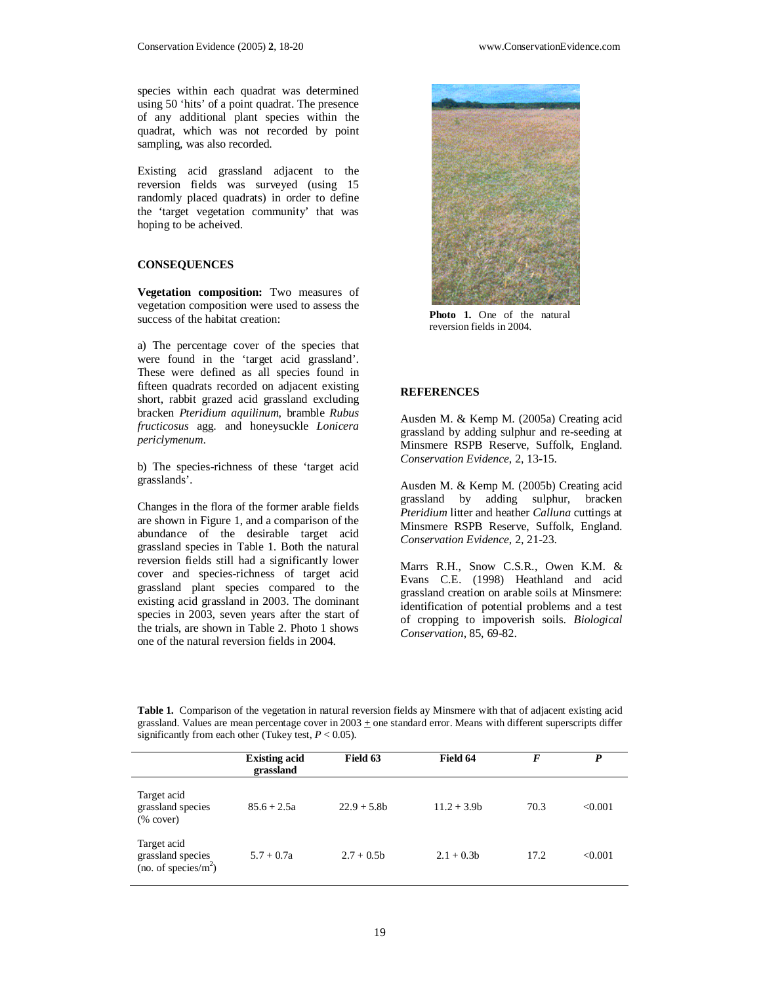species within each quadrat was determined using 50 'hits' of a point quadrat. The presence of any additional plant species within the quadrat, which was not recorded by point sampling, was also recorded.

Existing acid grassland adjacent to the reversion fields was surveyed (using 15 randomly placed quadrats) in order to define the 'target vegetation community' that was hoping to be acheived.

#### **CONSEQUENCES**

**Vegetation composition:** Two measures of vegetation composition were used to assess the success of the habitat creation:

a) The percentage cover of the species that were found in the 'target acid grassland'. These were defined as all species found in fifteen quadrats recorded on adjacent existing short, rabbit grazed acid grassland excluding bracken *Pteridium aquilinum*, bramble *Rubus fructicosus* agg. and honeysuckle *Lonicera periclymenum*.

b) The species-richness of these 'target acid grasslands'.

Changes in the flora of the former arable fields are shown in Figure 1, and a comparison of the abundance of the desirable target acid grassland species in Table 1. Both the natural reversion fields still had a significantly lower cover and species-richness of target acid grassland plant species compared to the existing acid grassland in 2003. The dominant species in 2003, seven years after the start of the trials, are shown in Table 2. Photo 1 shows one of the natural reversion fields in 2004.



Photo 1. One of the natural reversion fields in 2004.

#### **REFERENCES**

Ausden M. & Kemp M. (2005a) Creating acid grassland by adding sulphur and re-seeding at Minsmere RSPB Reserve, Suffolk, England. *Conservation Evidence*, 2, 13-15.

Ausden M. & Kemp M. (2005b) Creating acid grassland by adding sulphur, bracken *Pteridium* litter and heather *Calluna* cuttings at Minsmere RSPB Reserve, Suffolk, England. *Conservation Evidence*, 2, 21-23.

Marrs R.H., Snow C.S.R., Owen K.M. & Evans C.E. (1998) Heathland and acid grassland creation on arable soils at Minsmere: identification of potential problems and a test of cropping to impoverish soils. *Biological Conservation*, 85, 69-82.

**Table 1.** Comparison of the vegetation in natural reversion fields ay Minsmere with that of adjacent existing acid grassland. Values are mean percentage cover in  $2003 \pm$  one standard error. Means with different superscripts differ significantly from each other (Tukey test,  $P < 0.05$ ).

|                                                                                          | <b>Existing acid</b><br>grassland | Field 63      | Field 64      | F    | P       |
|------------------------------------------------------------------------------------------|-----------------------------------|---------------|---------------|------|---------|
| Target acid<br>grassland species<br>$(% \mathcal{L}_{0}^{\infty} \circ \mathcal{L}_{1})$ | $85.6 + 2.5a$                     | $22.9 + 5.8b$ | $11.2 + 3.9b$ | 70.3 | < 0.001 |
| Target acid<br>grassland species<br>(no. of species/ $m2$ )                              | $5.7 + 0.7a$                      | $2.7 + 0.5b$  | $2.1 + 0.3b$  | 17.2 | < 0.001 |